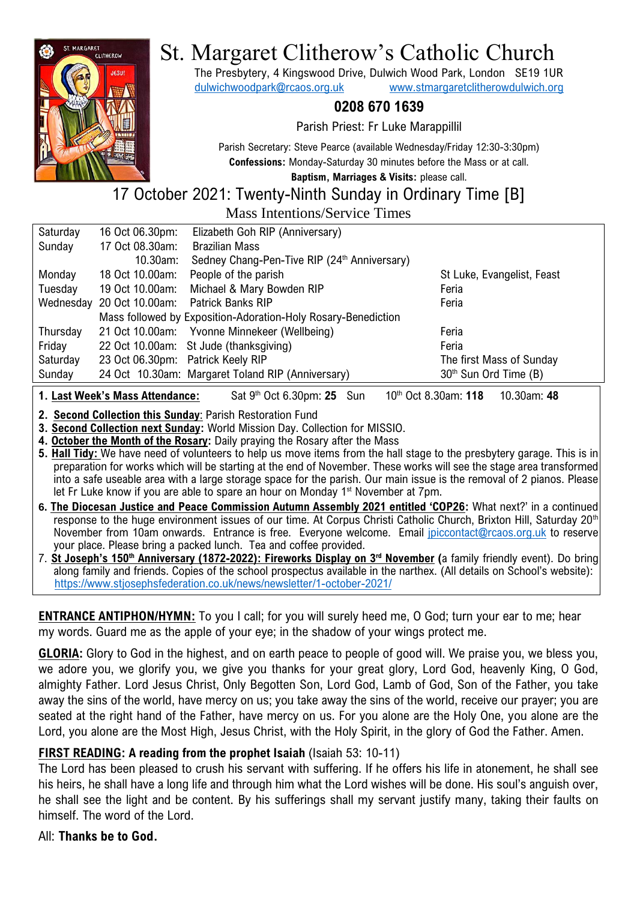

# St. Margaret Clitherow's Catholic Church

The Presbytery, 4 Kingswood Drive, Dulwich Wood Park, London SE19 1UR [dulwichwoodpark@rcaos.org.uk](mailto:dulwichwoodpark@rcaos.org.uk) [www.stmargaretclitherowdulwich.org](http://www.stmargaretclitherowdulwich.org/)

# **0208 670 1639**

Parish Priest: Fr Luke Marappillil

Parish Secretary: Steve Pearce (available Wednesday/Friday 12:30-3:30pm) **Confessions:** Monday-Saturday 30 minutes before the Mass or at call. **Baptism, Marriages & Visits:** please call.

17 October 2021: Twenty-Ninth Sunday in Ordinary Time [B]

Mass Intentions/Service Times

| Saturday | 16 Oct 06.30pm:                   | Elizabeth Goh RIP (Anniversary)                               |                                   |
|----------|-----------------------------------|---------------------------------------------------------------|-----------------------------------|
| Sunday   | 17 Oct 08.30am:                   | <b>Brazilian Mass</b>                                         |                                   |
|          | 10.30am:                          | Sedney Chang-Pen-Tive RIP (24th Anniversary)                  |                                   |
| Monday   | 18 Oct 10.00am:                   | People of the parish                                          | St Luke, Evangelist, Feast        |
| Tuesday  | 19 Oct 10.00am:                   | Michael & Mary Bowden RIP                                     | Feria                             |
|          |                                   | Wednesday 20 Oct 10.00am: Patrick Banks RIP                   | Feria                             |
|          |                                   | Mass followed by Exposition-Adoration-Holy Rosary-Benediction |                                   |
| Thursday |                                   | 21 Oct 10.00am: Yvonne Minnekeer (Wellbeing)                  | Feria                             |
| Friday   |                                   | 22 Oct 10.00am: St Jude (thanksgiving)                        | Feria                             |
| Saturday | 23 Oct 06.30pm: Patrick Keely RIP |                                                               | The first Mass of Sunday          |
| Sunday   |                                   | 24 Oct 10.30am: Margaret Toland RIP (Anniversary)             | 30 <sup>th</sup> Sun Ord Time (B) |
|          |                                   |                                                               |                                   |

**1. Last Week's Mass Attendance:** th Oct 6.30pm: **25** Sun 10th Oct 8.30am: **118** 10.30am: **48**

**2. Second Collection this Sunday**: Parish Restoration Fund

**3. Second Collection next Sunday:** World Mission Day. Collection for MISSIO.

**4. October the Month of the Rosary:** Daily praying the Rosary after the Mass

**5. Hall Tidy:** We have need of volunteers to help us move items from the hall stage to the presbytery garage. This is in preparation for works which will be starting at the end of November. These works will see the stage area transformed into a safe useable area with a large storage space for the parish. Our main issue is the removal of 2 pianos. Please let Fr Luke know if you are able to spare an hour on Monday 1<sup>st</sup> November at 7pm.

- **6. The Diocesan Justice and Peace Commission Autumn Assembly 2021 entitled 'COP26:** What next?' in a continued response to the huge environment issues of our time. At Corpus Christi Catholic Church, Brixton Hill, Saturday 20<sup>th</sup> November from 10am onwards. Entrance is free. Everyone welcome. Email [jpiccontact@rcaos.org.uk](mailto:jpiccontact@rcaos.org.uk) to reserve your place. Please bring a packed lunch. Tea and coffee provided.
- 7. **St Joseph's 150th Anniversary (1872-2022): Fireworks Display on 3rd November (**a family friendly event). Do bring along family and friends. Copies of the school prospectus available in the narthex. (All details on School's website): <https://www.stjosephsfederation.co.uk/news/newsletter/1-october-2021/>

**ENTRANCE ANTIPHON/HYMN:** To you I call; for you will surely heed me, O God; turn your ear to me; hear my words. Guard me as the apple of your eye; in the shadow of your wings protect me.

**GLORIA:** Glory to God in the highest, and on earth peace to people of good will. We praise you, we bless you, we adore you, we glorify you, we give you thanks for your great glory, Lord God, heavenly King, O God, almighty Father. Lord Jesus Christ, Only Begotten Son, Lord God, Lamb of God, Son of the Father, you take away the sins of the world, have mercy on us; you take away the sins of the world, receive our prayer; you are seated at the right hand of the Father, have mercy on us. For you alone are the Holy One, you alone are the Lord, you alone are the Most High, Jesus Christ, with the Holy Spirit, in the glory of God the Father. Amen.

## **FIRST READING: A reading from the prophet Isaiah** (Isaiah 53: 10-11)

The Lord has been pleased to crush his servant with suffering. If he offers his life in atonement, he shall see his heirs, he shall have a long life and through him what the Lord wishes will be done. His soul's anguish over, he shall see the light and be content. By his sufferings shall my servant justify many, taking their faults on himself. The word of the Lord.

All: **Thanks be to God.**